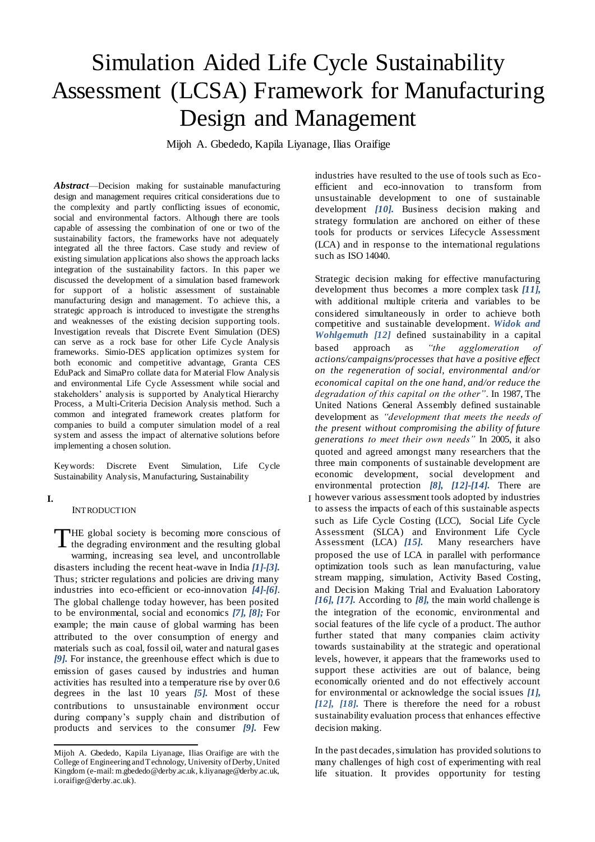# Simulation Aided Life Cycle Sustainability Assessment (LCSA) Framework for Manufacturing Design and Management

Mijoh A. Gbededo, Kapila Liyanage, Ilias Oraifige

*Abstract*—Decision making for sustainable manufacturing design and management requires critical considerations due to the complexity and partly conflicting issues of economic, social and environmental factors. Although there are tools capable of assessing the combination of one or two of the sustainability factors, the frameworks have not adequately integrated all the three factors. Case study and review of existing simulation applications also shows the approach lacks integration of the sustainability factors. In this paper we discussed the development of a simulation based framework for support of a holistic assessment of sustainable manufacturing design and management. To achieve this, a strategic approach is introduced to investigate the strengths and weaknesses of the existing decision supporting tools. Investigation reveals that Discrete Event Simulation (DES) can serve as a rock base for other Life Cycle Analysis frameworks. Simio-DES application optimizes system for both economic and competitive advantage, Granta CES EduPack and SimaPro collate data for Material Flow Analysis and environmental Life Cycle Assessment while social and stakeholders' analysis is supported by Analytical Hierarchy Process, a Multi-Criteria Decision Analysis method. Such a common and integrated framework creates platform for companies to build a computer simulation model of a real system and assess the impact of alternative solutions before implementing a chosen solution.

Keywords: Discrete Event Simulation, Life Cycle Sustainability Analysis, Manufacturing, Sustainability

**I.** I

l

#### **INTRODUCTION**

THE global society is becoming more conscious of THE global society is becoming more conscious of<br>the degrading environment and the resulting global warming, increasing sea level, and uncontrollable disasters including the recent heat-wave in India *[1]-[3].* Thus; stricter regulations and policies are driving many industries into eco-efficient or eco-innovation *[4]-[6]*. The global challenge today however, has been posited to be environmental, social and economics *[7], [8];* For example; the main cause of global warming has been attributed to the over consumption of energy and materials such as coal, fossil oil, water and natural gases *[9].* For instance, the greenhouse effect which is due to emission of gases caused by industries and human activities has resulted into a temperature rise by over 0.6 degrees in the last 10 years *[5].* Most of these contributions to unsustainable environment occur during company's supply chain and distribution of products and services to the consumer *[9].* Few industries have resulted to the use of tools such as Ecoefficient and eco-innovation to transform from unsustainable development to one of sustainable development *[10].* Business decision making and strategy formulation are anchored on either of these tools for products or services Lifecycle Assessment (LCA) and in response to the international regulations such as ISO 14040.

Strategic decision making for effective manufacturing development thus becomes a more complex task *[11],* with additional multiple criteria and variables to be considered simultaneously in order to achieve both competitive and sustainable development. *Widok and Wohlgemuth [12]* defined sustainability in a capital based approach as *"the agglomeration of actions/campaigns/processes that have a positive effect on the regeneration of social, environmental and/or economical capital on the one hand, and/or reduce the degradation of this capital on the other"*. In 1987, The United Nations General Assembly defined sustainable development as *"development that meets the needs of the present without compromising the ability of future generations to meet their own needs"* In 2005, it also quoted and agreed amongst many researchers that the three main components of sustainable development are economic development, social development and environmental protection *[8], [12]-[14].* There are

however various assessment tools adopted by industries to assess the impacts of each of this sustainable aspects such as Life Cycle Costing (LCC), Social Life Cycle Assessment (SLCA) and Environment Life Cycle<br>Assessment (LCA) [15]. Many researchers have Assessment (LCA) [15]. proposed the use of LCA in parallel with performance optimization tools such as lean manufacturing, value stream mapping, simulation, Activity Based Costing, and Decision Making Trial and Evaluation Laboratory *[16], [17].* According to *[8],* the main world challenge is the integration of the economic, environmental and social features of the life cycle of a product. The author further stated that many companies claim activity towards sustainability at the strategic and operational levels, however, it appears that the frameworks used to support these activities are out of balance, being economically oriented and do not effectively account for environmental or acknowledge the social issues *[1], [12], [18].* There is therefore the need for a robust sustainability evaluation process that enhances effective decision making.

In the past decades, simulation has provided solutions to many challenges of high cost of experimenting with real life situation. It provides opportunity for testing

Mijoh A. Gbededo, Kapila Liyanage, Ilias Oraifige are with the College of Engineering and Technology, University of Derby, United Kingdom (e-mail: m.gbededo@derby.ac.uk, k.liyanage@derby.ac.uk, i.oraifige@derby.ac.uk).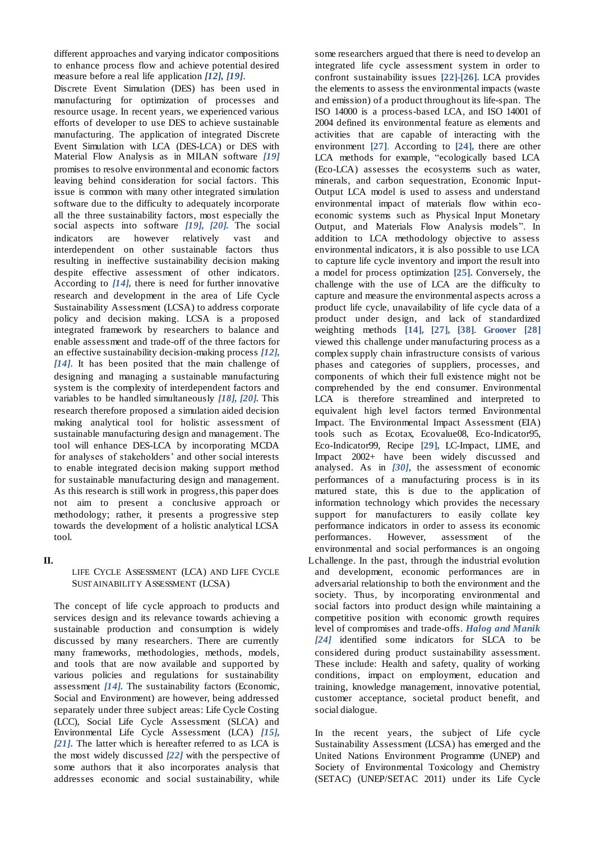different approaches and varying indicator compositions to enhance process flow and achieve potential desired measure before a real life application *[12], [19]*.

Discrete Event Simulation (DES) has been used in manufacturing for optimization of processes and resource usage. In recent years, we experienced various efforts of developer to use DES to achieve sustainable manufacturing. The application of integrated Discrete Event Simulation with LCA (DES-LCA) or DES with Material Flow Analysis as in MILAN software *[19]* promises to resolve environmental and economic factors leaving behind consideration for social factors. This issue is common with many other integrated simulation software due to the difficulty to adequately incorporate all the three sustainability factors, most especially the social aspects into software *[19], [20].* The social indicators are however relatively vast and interdependent on other sustainable factors thus resulting in ineffective sustainability decision making despite effective assessment of other indicators. According to *[14],* there is need for further innovative research and development in the area of Life Cycle Sustainability Assessment (LCSA) to address corporate policy and decision making. LCSA is a proposed integrated framework by researchers to balance and enable assessment and trade-off of the three factors for an effective sustainability decision-making process *[12], [14]*. It has been posited that the main challenge of designing and managing a sustainable manufacturing system is the complexity of interdependent factors and variables to be handled simultaneously *[18], [20].* This research therefore proposed a simulation aided decision making analytical tool for holistic assessment of sustainable manufacturing design and management. The tool will enhance DES-LCA by incorporating MCDA for analyses of stakeholders' and other social interests to enable integrated decision making support method for sustainable manufacturing design and management. As this research is still work in progress, this paper does not aim to present a conclusive approach or methodology; rather, it presents a progressive step towards the development of a holistic analytical LCSA tool.

## **II.** L

## LIFE CYCLE ASSESSMENT (LCA) AND LIFE CYCLE SUSTAINABILITY ASSESSMENT (LCSA)

The concept of life cycle approach to products and services design and its relevance towards achieving a sustainable production and consumption is widely discussed by many researchers. There are currently many frameworks, methodologies, methods, models, and tools that are now available and supported by various policies and regulations for sustainability assessment *[14].* The sustainability factors (Economic, Social and Environment) are however, being addressed separately under three subject areas: Life Cycle Costing (LCC), Social Life Cycle Assessment (SLCA) and Environmental Life Cycle Assessment (LCA) *[15], [21]***.** The latter which is hereafter referred to as LCA is the most widely discussed *[22]* with the perspective of some authors that it also incorporates analysis that addresses economic and social sustainability, while

some researchers argued that there is need to develop an integrated life cycle assessment system in order to confront sustainability issues **[22]-[26].** LCA provides the elements to assess the environmental impacts (waste and emission) of a product throughout its life-span. The ISO 14000 is a process-based LCA, and ISO 14001 of 2004 defined its environmental feature as elements and activities that are capable of interacting with the environment **[27]**. According to **[24],** there are other LCA methods for example, "ecologically based LCA (Eco-LCA) assesses the ecosystems such as water, minerals, and carbon sequestration, Economic Input-Output LCA model is used to assess and understand environmental impact of materials flow within ecoeconomic systems such as Physical Input Monetary Output, and Materials Flow Analysis models". In addition to LCA methodology objective to assess environmental indicators, it is also possible to use LCA to capture life cycle inventory and import the result into a model for process optimization **[25].** Conversely, the challenge with the use of LCA are the difficulty to capture and measure the environmental aspects across a product life cycle, unavailability of life cycle data of a product under design, and lack of standardized weighting methods **[14], [27], [38]**. **Groover [28]** viewed this challenge under manufacturing process as a complex supply chain infrastructure consists of various phases and categories of suppliers, processes, and components of which their full existence might not be comprehended by the end consumer. Environmental LCA is therefore streamlined and interpreted to equivalent high level factors termed Environmental Impact. The Environmental Impact Assessment (EIA) tools such as Ecotax, Ecovalue08, Eco-Indicator95, Eco-Indicator99, Recipe **[29],** LC-Impact, LIME, and Impact 2002+ have been widely discussed and analysed. As in *[30]*, the assessment of economic performances of a manufacturing process is in its matured state, this is due to the application of information technology which provides the necessary support for manufacturers to easily collate key performance indicators in order to assess its economic performances. However, assessment of the environmental and social performances is an ongoing Lchallenge. In the past, through the industrial evolution and development, economic performances are in adversarial relationship to both the environment and the society. Thus, by incorporating environmental and social factors into product design while maintaining a competitive position with economic growth requires level of compromises and trade-offs. *Halog and Manik [24]* identified some indicators for SLCA to be considered during product sustainability assessment. These include: Health and safety, quality of working conditions, impact on employment, education and training, knowledge management, innovative potential, customer acceptance, societal product benefit, and social dialogue.

In the recent years, the subject of Life cycle Sustainability Assessment (LCSA) has emerged and the United Nations Environment Programme (UNEP) and Society of Environmental Toxicology and Chemistry (SETAC) (UNEP/SETAC 2011) under its Life Cycle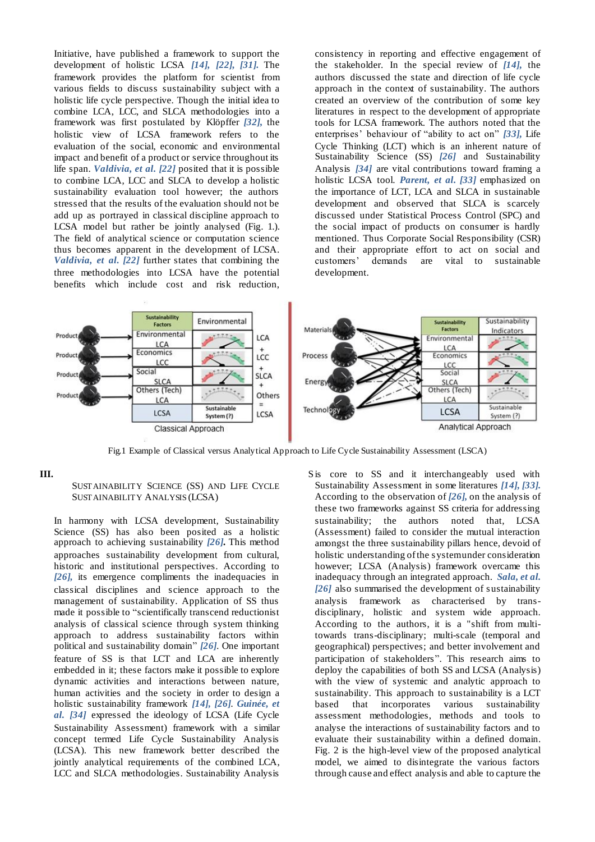Initiative, have published a framework to support the development of holistic LCSA *[14], [22], [31].* The framework provides the platform for scientist from various fields to discuss sustainability subject with a holistic life cycle perspective. Though the initial idea to combine LCA, LCC, and SLCA methodologies into a framework was first postulated by Klöpffer *[32],* the holistic view of LCSA framework refers to the evaluation of the social, economic and environmental impact and benefit of a product or service throughout its life span. *Valdivia, et al. [22]* posited that it is possible to combine LCA, LCC and SLCA to develop a holistic sustainability evaluation tool however; the authors stressed that the results of the evaluation should not be add up as portrayed in classical discipline approach to LCSA model but rather be jointly analysed (Fig. 1.). The field of analytical science or computation science thus becomes apparent in the development of LCSA. *Valdivia, et al. [22]* further states that combining the three methodologies into LCSA have the potential benefits which include cost and risk reduction,

consistency in reporting and effective engagement of the stakeholder. In the special review of *[14],* the authors discussed the state and direction of life cycle approach in the context of sustainability. The authors created an overview of the contribution of some key literatures in respect to the development of appropriate tools for LCSA framework. The authors noted that the enterprises' behaviour of "ability to act on" *[33],* Life Cycle Thinking (LCT) which is an inherent nature of Sustainability Science (SS) *[26]* and Sustainability Analysis *[34]* are vital contributions toward framing a holistic LCSA tool. *Parent, et al. [33]* emphasized on the importance of LCT, LCA and SLCA in sustainable development and observed that SLCA is scarcely discussed under Statistical Process Control (SPC) and the social impact of products on consumer is hardly mentioned. Thus Corporate Social Responsibility (CSR) and their appropriate effort to act on social and customers' demands are vital to sustainable development.



Fig.1 Example of Classical versus Analytical Approach to Life Cycle Sustainability Assessment (LSCA)

## **III.** S

## SUSTAINABILITY SCIENCE (SS) AND LIFE CYCLE SUSTAINABILITY ANALYSIS (LCSA)

In harmony with LCSA development, Sustainability Science (SS) has also been posited as a holistic approach to achieving sustainability *[26].* This method approaches sustainability development from cultural, historic and institutional perspectives. According to *[26],* its emergence compliments the inadequacies in classical disciplines and science approach to the management of sustainability. Application of SS thus made it possible to "scientifically transcend reductionist analysis of classical science through system thinking approach to address sustainability factors within political and sustainability domain" *[26].* One important feature of SS is that LCT and LCA are inherently embedded in it; these factors make it possible to explore dynamic activities and interactions between nature, human activities and the society in order to design a holistic sustainability framework *[14], [26]. Guinée, et al. [34]* expressed the ideology of LCSA (Life Cycle Sustainability Assessment) framework with a similar concept termed Life Cycle Sustainability Analysis (LCSA). This new framework better described the jointly analytical requirements of the combined LCA, LCC and SLCA methodologies. Sustainability Analysis

S is core to SS and it interchangeably used with Sustainability Assessment in some literatures *[14], [33].* According to the observation of *[26],* on the analysis of these two frameworks against SS criteria for addressing sustainability; the authors noted that, LCSA (Assessment) failed to consider the mutual interaction amongst the three sustainability pillars hence, devoid of holistic understanding of the system under consideration however; LCSA (Analysis) framework overcame this inadequacy through an integrated approach. *Sala, et al. [26]* also summarised the development of sustainability analysis framework as characterised by transdisciplinary, holistic and system wide approach. According to the authors, it is a "shift from multitowards trans-disciplinary; multi-scale (temporal and geographical) perspectives; and better involvement and participation of stakeholders". This research aims to deploy the capabilities of both SS and LCSA (Analysis) with the view of systemic and analytic approach to sustainability. This approach to sustainability is a LCT based that incorporates various sustainability assessment methodologies, methods and tools to analyse the interactions of sustainability factors and to evaluate their sustainability within a defined domain. Fig. 2 is the high-level view of the proposed analytical model, we aimed to disintegrate the various factors through cause and effect analysis and able to capture the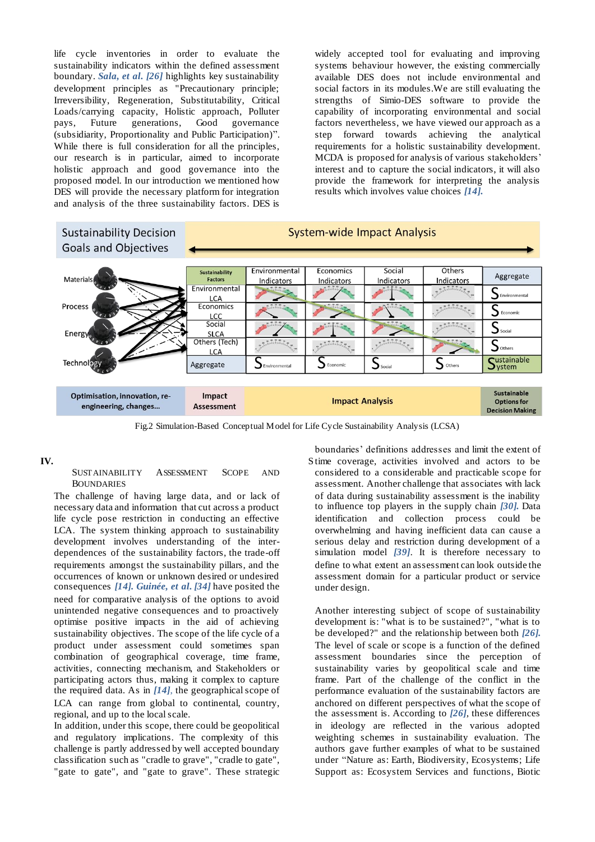life cycle inventories in order to evaluate the sustainability indicators within the defined assessment boundary. *Sala, et al. [26]* highlights key sustainability development principles as "Precautionary principle; Irreversibility, Regeneration, Substitutability, Critical Loads/carrying capacity, Holistic approach, Polluter pays, Future generations, Good governance (subsidiarity, Proportionality and Public Participation)". While there is full consideration for all the principles, our research is in particular, aimed to incorporate holistic approach and good governance into the proposed model. In our introduction we mentioned how DES will provide the necessary platform for integration and analysis of the three sustainability factors. DES is

widely accepted tool for evaluating and improving systems behaviour however, the existing commercially available DES does not include environmental and social factors in its modules.We are still evaluating the strengths of Simio-DES software to provide the capability of incorporating environmental and social factors nevertheless, we have viewed our approach as a step forward towards achieving the analytical requirements for a holistic sustainability development. MCDA is proposed for analysis of various stakeholders' interest and to capture the social indicators, it will also provide the framework for interpreting the analysis results which involves value choices *[14].*



Fig.2 Simulation-Based Conceptual Model for Life Cycle Sustainability Analysis (LCSA)

#### **IV.** S

#### SUSTAINABILITY ASSESSMENT SCOPE AND BOUNDARIES

The challenge of having large data, and or lack of necessary data and information that cut across a product life cycle pose restriction in conducting an effective LCA. The system thinking approach to sustainability development involves understanding of the interdependences of the sustainability factors, the trade-off requirements amongst the sustainability pillars, and the occurrences of known or unknown desired or undesired consequences *[14]. Guinée, et al. [34]* have posited the need for comparative analysis of the options to avoid unintended negative consequences and to proactively optimise positive impacts in the aid of achieving sustainability objectives. The scope of the life cycle of a product under assessment could sometimes span combination of geographical coverage, time frame, activities, connecting mechanism, and Stakeholders or participating actors thus, making it complex to capture the required data. As in *[14]*, the geographical scope of LCA can range from global to continental, country, regional, and up to the local scale.

In addition, under this scope, there could be geopolitical and regulatory implications. The complexity of this challenge is partly addressed by well accepted boundary classification such as "cradle to grave", "cradle to gate", "gate to gate", and "gate to grave". These strategic

boundaries' definitions addresses and limit the extent of Stime coverage, activities involved and actors to be considered to a considerable and practicable scope for assessment. Another challenge that associates with lack of data during sustainability assessment is the inability to influence top players in the supply chain *[30].* Data identification and collection process could be overwhelming and having inefficient data can cause a serious delay and restriction during development of a simulation model *[39]*. It is therefore necessary to define to what extent an assessment can look outside the assessment domain for a particular product or service under design.

Another interesting subject of scope of sustainability development is: "what is to be sustained?", "what is to be developed?" and the relationship between both *[26].* The level of scale or scope is a function of the defined assessment boundaries since the perception of sustainability varies by geopolitical scale and time frame. Part of the challenge of the conflict in the performance evaluation of the sustainability factors are anchored on different perspectives of what the scope of the assessment is. According to *[26]*, these differences in ideology are reflected in the various adopted weighting schemes in sustainability evaluation. The authors gave further examples of what to be sustained under "Nature as: Earth, Biodiversity, Ecosystems; Life Support as: Ecosystem Services and functions, Biotic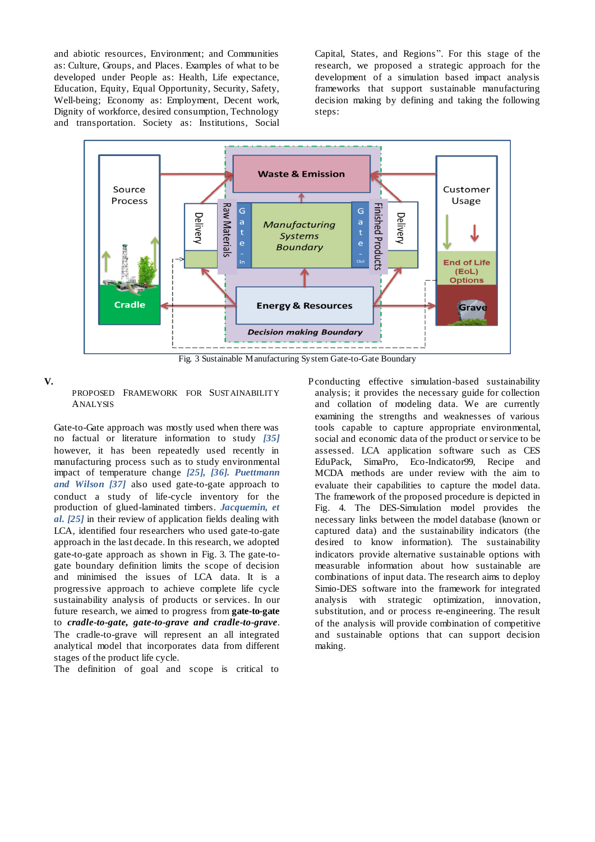and abiotic resources, Environment; and Communities as: Culture, Groups, and Places. Examples of what to be developed under People as: Health, Life expectance, Education, Equity, Equal Opportunity, Security, Safety, Well-being; Economy as: Employment, Decent work, Dignity of workforce, desired consumption, Technology and transportation. Society as: Institutions, Social

Capital, States, and Regions". For this stage of the research, we proposed a strategic approach for the development of a simulation based impact analysis frameworks that support sustainable manufacturing decision making by defining and taking the following steps:



Fig. 3 Sustainable Manufacturing System Gate-to-Gate Boundary

**V.** P

## PROPOSED FRAMEWORK FOR SUSTAINABILITY ANALYSIS

Gate-to-Gate approach was mostly used when there was no factual or literature information to study *[35]* however, it has been repeatedly used recently in manufacturing process such as to study environmental impact of temperature change *[25], [36]. Puettmann and Wilson [37]* also used gate-to-gate approach to conduct a study of life-cycle inventory for the production of glued-laminated timbers. *Jacquemin, et al. [25]* in their review of application fields dealing with LCA, identified four researchers who used gate-to-gate approach in the last decade. In this research, we adopted gate-to-gate approach as shown in Fig. 3. The gate-togate boundary definition limits the scope of decision and minimised the issues of LCA data. It is a progressive approach to achieve complete life cycle sustainability analysis of products or services. In our future research, we aimed to progress from **gate-to-gate** to *cradle-to-gate, gate-to-grave and cradle-to-grave*. The cradle-to-grave will represent an all integrated analytical model that incorporates data from different stages of the product life cycle.

The definition of goal and scope is critical to

P conducting effective simulation-based sustainability analysis; it provides the necessary guide for collection and collation of modeling data. We are currently examining the strengths and weaknesses of various tools capable to capture appropriate environmental, social and economic data of the product or service to be assessed. LCA application software such as CES EduPack, SimaPro, Eco-Indicator99, Recipe and MCDA methods are under review with the aim to evaluate their capabilities to capture the model data. The framework of the proposed procedure is depicted in Fig. 4. The DES-Simulation model provides the necessary links between the model database (known or captured data) and the sustainability indicators (the desired to know information). The sustainability indicators provide alternative sustainable options with measurable information about how sustainable are combinations of input data. The research aims to deploy Simio-DES software into the framework for integrated analysis with strategic optimization, innovation, substitution, and or process re-engineering. The result of the analysis will provide combination of competitive and sustainable options that can support decision making.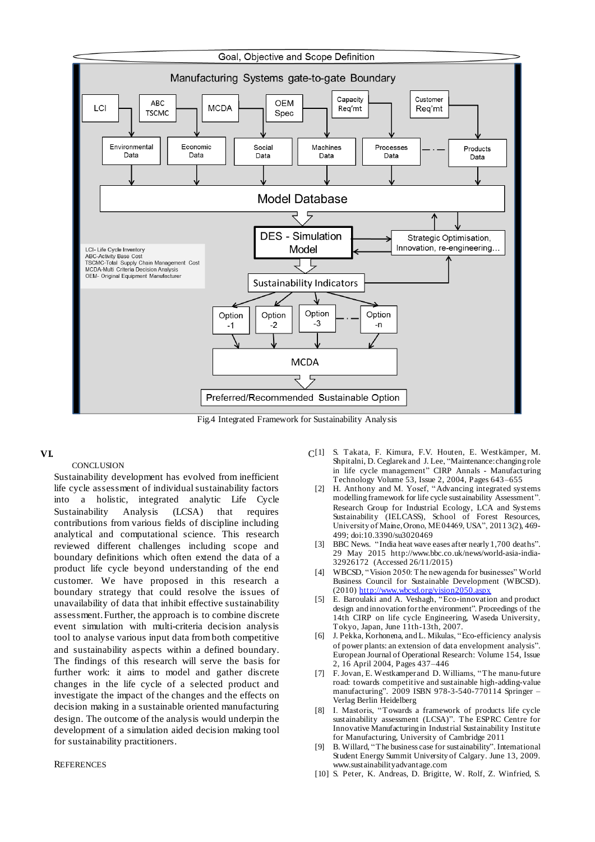

Fig.4 Integrated Framework for Sustainability Analysis

## **VI.** C

## **CONCLUSION**

Sustainability development has evolved from inefficient life cycle assessment of individual sustainability factors into a holistic, integrated analytic Life Cycle Sustainability Analysis (LCSA) that requires contributions from various fields of discipline including analytical and computational science. This research reviewed different challenges including scope and boundary definitions which often extend the data of a product life cycle beyond understanding of the end customer. We have proposed in this research a boundary strategy that could resolve the issues of unavailability of data that inhibit effective sustainability assessment. Further, the approach is to combine discrete event simulation with multi-criteria decision analysis tool to analyse various input data from both competitive and sustainability aspects within a defined boundary. The findings of this research will serve the basis for further work: it aims to model and gather discrete changes in the life cycle of a selected product and investigate the impact of the changes and the effects on decision making in a sustainable oriented manufacturing design. The outcome of the analysis would underpin the development of a simulation aided decision making tool for sustainability practitioners.

#### **REFERENCES**

- [1] S. Takata, F. Kimura, F.V. Houten, E. Westkämper, M. Shpitalni, D. Ceglarek and J. Lee, "Maintenance: changing role in life cycle management" CIRP Annals - Manufacturing Technology Volume 53, Issue 2, 2004, Pages 643–655
	- [2] H. Anthony and M. Yosef, "Advancing integrated systems modelling framework for life cycle sustainability Assessment". Research Group for Industrial Ecology, LCA and Systems Sustainability (IELCASS), School of Forest Resources, University of Maine, Orono, ME 04469, USA", 20113(2), 469-499; doi:10.3390/su3020469
	- [3] BBC News. "India heat wave eases after nearly 1,700 deaths". 29 May 2015 http://www.bbc.co.uk/news/world-asia-india-32926172 (Accessed 26/11/2015)
	- [4] WBCSD, "Vision 2050: The new agenda for businesses" World Business Council for Sustainable Development (WBCSD). (2010) [http://www.wbcsd.org/vision2050.asp](http://www.wbcsd.org/vision2050.aspx)x
	- [5] E. Baroulaki and A. Veshagh, "Eco-innovation and product design and innovation for the environment". Proceedings of the 14th CIRP on life cycle Engineering, Waseda University, Tokyo, Japan, June 11th-13th, 2007.
	- [6] J. Pekka, Korhonena, and L. Mikulas, "Eco-efficiency analysis of power plants: an extension of data envelopment analysis". European Journal of Operational Research: Volume 154, Issue 2, 16 April 2004, Pages 437–446
	- [7] F. Jovan, E. Westkamper and D. Williams, "The manu-future road: towards competitive and sustainable high-adding-value manufacturing". 2009 ISBN 978-3-540-770114 Springer – Verlag Berlin Heidelberg
	- [8] I. Mastoris, "Towards a framework of products life cycle sustainability assessment (LCSA)". The ESPRC Centre for Innovative Manufacturing in Industrial Sustainability Institute for Manufacturing, University of Cambridge 2011
	- [9] B. Willard, "The business case for sustainability". International Student Energy Summit University of Calgary. June 13, 2009. www.sustainabilityadvantage.com
	- [10] S. Peter, K. Andreas, D. Brigitte, W. Rolf, Z. Winfried, S.